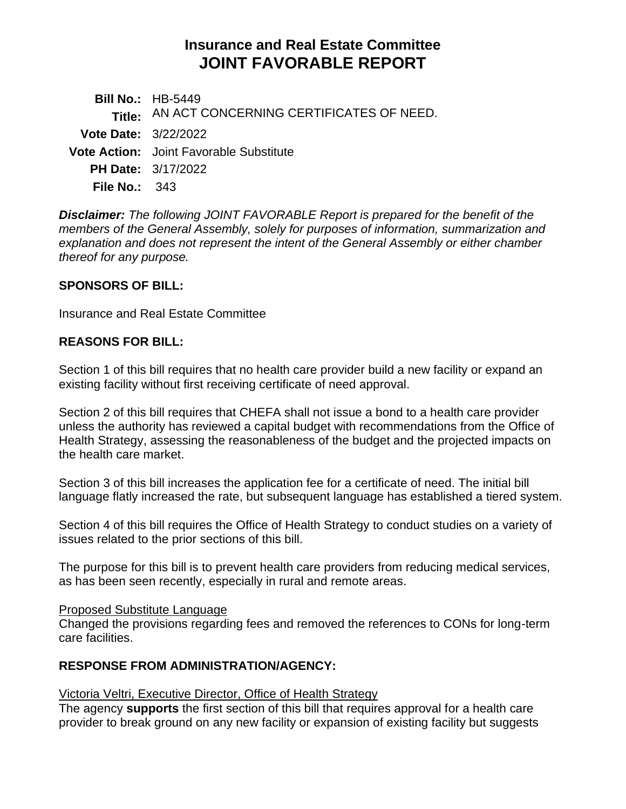# **Insurance and Real Estate Committee JOINT FAVORABLE REPORT**

|                             | <b>Bill No.: HB-5449</b>                       |
|-----------------------------|------------------------------------------------|
|                             | Title: AN ACT CONCERNING CERTIFICATES OF NEED. |
| <b>Vote Date: 3/22/2022</b> |                                                |
|                             | <b>Vote Action:</b> Joint Favorable Substitute |
|                             | <b>PH Date: 3/17/2022</b>                      |
| <b>File No.: 343</b>        |                                                |

*Disclaimer: The following JOINT FAVORABLE Report is prepared for the benefit of the members of the General Assembly, solely for purposes of information, summarization and explanation and does not represent the intent of the General Assembly or either chamber thereof for any purpose.*

#### **SPONSORS OF BILL:**

Insurance and Real Estate Committee

#### **REASONS FOR BILL:**

Section 1 of this bill requires that no health care provider build a new facility or expand an existing facility without first receiving certificate of need approval.

Section 2 of this bill requires that CHEFA shall not issue a bond to a health care provider unless the authority has reviewed a capital budget with recommendations from the Office of Health Strategy, assessing the reasonableness of the budget and the projected impacts on the health care market.

Section 3 of this bill increases the application fee for a certificate of need. The initial bill language flatly increased the rate, but subsequent language has established a tiered system.

Section 4 of this bill requires the Office of Health Strategy to conduct studies on a variety of issues related to the prior sections of this bill.

The purpose for this bill is to prevent health care providers from reducing medical services, as has been seen recently, especially in rural and remote areas.

#### Proposed Substitute Language

Changed the provisions regarding fees and removed the references to CONs for long-term care facilities.

#### **RESPONSE FROM ADMINISTRATION/AGENCY:**

#### Victoria Veltri, Executive Director, Office of Health Strategy

The agency **supports** the first section of this bill that requires approval for a health care provider to break ground on any new facility or expansion of existing facility but suggests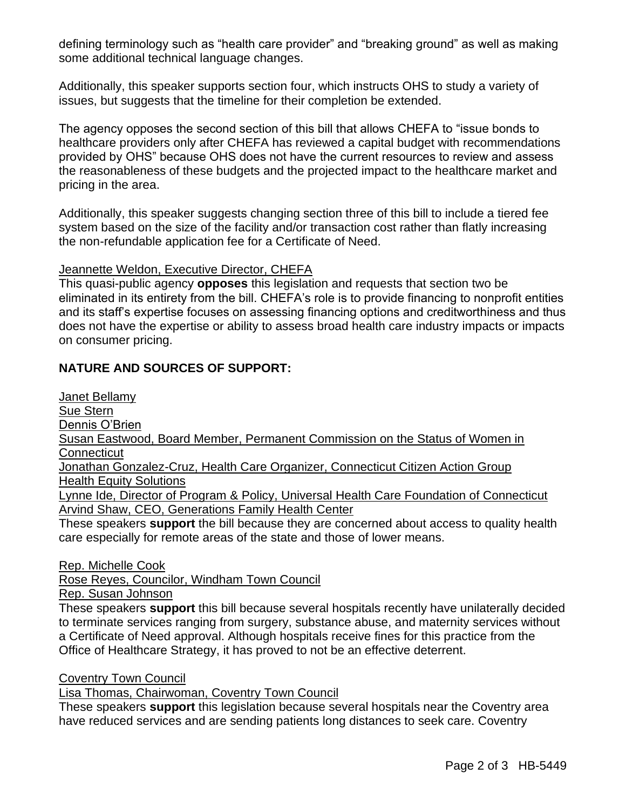defining terminology such as "health care provider" and "breaking ground" as well as making some additional technical language changes.

Additionally, this speaker supports section four, which instructs OHS to study a variety of issues, but suggests that the timeline for their completion be extended.

The agency opposes the second section of this bill that allows CHEFA to "issue bonds to healthcare providers only after CHEFA has reviewed a capital budget with recommendations provided by OHS" because OHS does not have the current resources to review and assess the reasonableness of these budgets and the projected impact to the healthcare market and pricing in the area.

Additionally, this speaker suggests changing section three of this bill to include a tiered fee system based on the size of the facility and/or transaction cost rather than flatly increasing the non-refundable application fee for a Certificate of Need.

#### Jeannette Weldon, Executive Director, CHEFA

This quasi-public agency **opposes** this legislation and requests that section two be eliminated in its entirety from the bill. CHEFA's role is to provide financing to nonprofit entities and its staff's expertise focuses on assessing financing options and creditworthiness and thus does not have the expertise or ability to assess broad health care industry impacts or impacts on consumer pricing.

### **NATURE AND SOURCES OF SUPPORT:**

Janet Bellamy Sue Stern Dennis O'Brien Susan Eastwood, Board Member, Permanent Commission on the Status of Women in **Connecticut** Jonathan Gonzalez-Cruz, Health Care Organizer, Connecticut Citizen Action Group Health Equity Solutions Lynne Ide, Director of Program & Policy, Universal Health Care Foundation of Connecticut Arvind Shaw, CEO, Generations Family Health Center These speakers **support** the bill because they are concerned about access to quality health care especially for remote areas of the state and those of lower means.

Rep. Michelle Cook

Rose Reyes, Councilor, Windham Town Council

Rep. Susan Johnson

These speakers **support** this bill because several hospitals recently have unilaterally decided to terminate services ranging from surgery, substance abuse, and maternity services without a Certificate of Need approval. Although hospitals receive fines for this practice from the Office of Healthcare Strategy, it has proved to not be an effective deterrent.

#### Coventry Town Council

Lisa Thomas, Chairwoman, Coventry Town Council

These speakers **support** this legislation because several hospitals near the Coventry area have reduced services and are sending patients long distances to seek care. Coventry